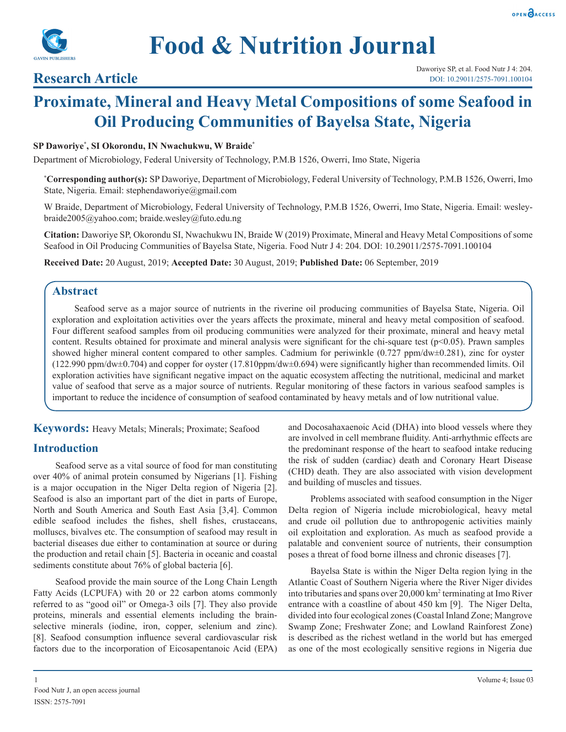



# **Research Article**

# **Proximate, Mineral and Heavy Metal Compositions of some Seafood in Oil Producing Communities of Bayelsa State, Nigeria**

#### **SP Daworiye\* , SI Okorondu, IN Nwachukwu, W Braide\***

Department of Microbiology, Federal University of Technology, P.M.B 1526, Owerri, Imo State, Nigeria

**\* Corresponding author(s):** SP Daworiye, Department of Microbiology, Federal University of Technology, P.M.B 1526, Owerri, Imo State, Nigeria. Email: stephendaworiye@gmail.com

W Braide, Department of Microbiology, Federal University of Technology, P.M.B 1526, Owerri, Imo State, Nigeria. Email: wesleybraide2005@yahoo.com; braide.wesley@futo.edu.ng

**Citation:** Daworiye SP, Okorondu SI, Nwachukwu IN, Braide W (2019) Proximate, Mineral and Heavy Metal Compositions of some Seafood in Oil Producing Communities of Bayelsa State, Nigeria. Food Nutr J 4: 204. DOI: 10.29011/2575-7091.100104

**Received Date:** 20 August, 2019; **Accepted Date:** 30 August, 2019; **Published Date:** 06 September, 2019

### **Abstract**

Seafood serve as a major source of nutrients in the riverine oil producing communities of Bayelsa State, Nigeria. Oil exploration and exploitation activities over the years affects the proximate, mineral and heavy metal composition of seafood. Four different seafood samples from oil producing communities were analyzed for their proximate, mineral and heavy metal content. Results obtained for proximate and mineral analysis were significant for the chi-square test (p<0.05). Prawn samples showed higher mineral content compared to other samples. Cadmium for periwinkle  $(0.727 \text{ ppm}/\text{dw} \pm 0.281)$ , zinc for oyster (122.990 ppm/dw±0.704) and copper for oyster (17.810ppm/dw±0.694) were significantly higher than recommended limits. Oil exploration activities have significant negative impact on the aquatic ecosystem affecting the nutritional, medicinal and market value of seafood that serve as a major source of nutrients. Regular monitoring of these factors in various seafood samples is important to reduce the incidence of consumption of seafood contaminated by heavy metals and of low nutritional value.

**Keywords:** Heavy Metals; Minerals; Proximate; Seafood

# **Introduction**

Seafood serve as a vital source of food for man constituting over 40% of animal protein consumed by Nigerians [1]. Fishing is a major occupation in the Niger Delta region of Nigeria [2]. Seafood is also an important part of the diet in parts of Europe, North and South America and South East Asia [3,4]. Common edible seafood includes the fishes, shell fishes, crustaceans, molluscs, bivalves etc. The consumption of seafood may result in bacterial diseases due either to contamination at source or during the production and retail chain [5]. Bacteria in oceanic and coastal sediments constitute about 76% of global bacteria [6].

Seafood provide the main source of the Long Chain Length Fatty Acids (LCPUFA) with 20 or 22 carbon atoms commonly referred to as "good oil" or Omega-3 oils [7]. They also provide proteins, minerals and essential elements including the brainselective minerals (iodine, iron, copper, selenium and zinc). [8]. Seafood consumption influence several cardiovascular risk factors due to the incorporation of Eicosapentanoic Acid (EPA)

and Docosahaxaenoic Acid (DHA) into blood vessels where they are involved in cell membrane fluidity. Anti-arrhythmic effects are the predominant response of the heart to seafood intake reducing the risk of sudden (cardiac) death and Coronary Heart Disease (CHD) death. They are also associated with vision development and building of muscles and tissues.

Problems associated with seafood consumption in the Niger Delta region of Nigeria include microbiological, heavy metal and crude oil pollution due to anthropogenic activities mainly oil exploitation and exploration. As much as seafood provide a palatable and convenient source of nutrients, their consumption poses a threat of food borne illness and chronic diseases [7].

Bayelsa State is within the Niger Delta region lying in the Atlantic Coast of Southern Nigeria where the River Niger divides into tributaries and spans over 20,000 km2 terminating at Imo River entrance with a coastline of about 450 km [9]. The Niger Delta, divided into four ecological zones (Coastal Inland Zone; Mangrove Swamp Zone; Freshwater Zone; and Lowland Rainforest Zone) is described as the richest wetland in the world but has emerged as one of the most ecologically sensitive regions in Nigeria due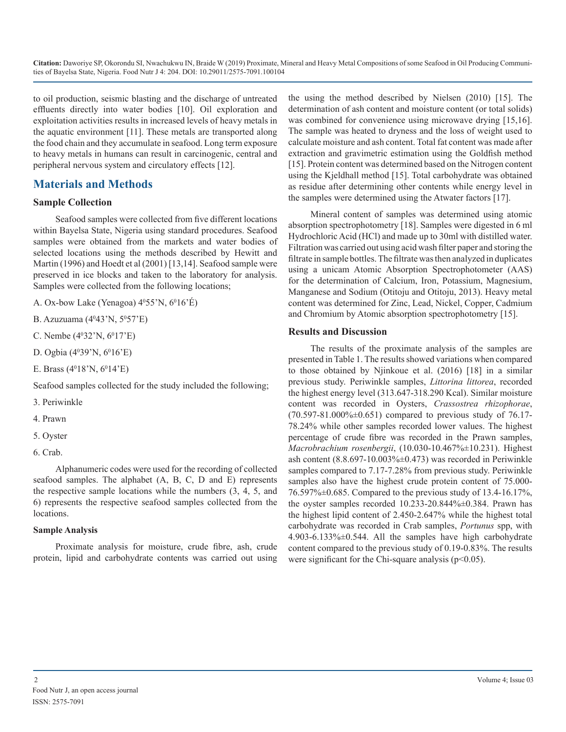to oil production, seismic blasting and the discharge of untreated effluents directly into water bodies [10]. Oil exploration and exploitation activities results in increased levels of heavy metals in the aquatic environment [11]. These metals are transported along the food chain and they accumulate in seafood. Long term exposure to heavy metals in humans can result in carcinogenic, central and peripheral nervous system and circulatory effects [12].

# **Materials and Methods**

#### **Sample Collection**

Seafood samples were collected from five different locations within Bayelsa State, Nigeria using standard procedures. Seafood samples were obtained from the markets and water bodies of selected locations using the methods described by Hewitt and Martin (1996) and Hoedt et al (2001) [13,14]. Seafood sample were preserved in ice blocks and taken to the laboratory for analysis. Samples were collected from the following locations;

A. Ox-bow Lake (Yenagoa) 4<sup>0</sup>55'N, 6<sup>0</sup>16'E)

B. Azuzuama (4<sup>0</sup>43'N, 5<sup>0</sup>57'E)

C. Nembe (4<sup>0</sup>32'N, 6<sup>0</sup>17'E)

D. Ogbia (40 39'N, 60 16'E)

E. Brass (4<sup>0</sup>18'N, 6<sup>0</sup>14'E)

Seafood samples collected for the study included the following;

3. Periwinkle

4. Prawn

- 5. Oyster
- 6. Crab.

Alphanumeric codes were used for the recording of collected seafood samples. The alphabet (A, B, C, D and E) represents the respective sample locations while the numbers (3, 4, 5, and 6) represents the respective seafood samples collected from the locations.

#### **Sample Analysis**

Proximate analysis for moisture, crude fibre, ash, crude protein, lipid and carbohydrate contents was carried out using the using the method described by Nielsen (2010) [15]. The determination of ash content and moisture content (or total solids) was combined for convenience using microwave drying [15,16]. The sample was heated to dryness and the loss of weight used to calculate moisture and ash content. Total fat content was made after extraction and gravimetric estimation using the Goldfish method [15]. Protein content was determined based on the Nitrogen content using the Kjeldhall method [15]. Total carbohydrate was obtained as residue after determining other contents while energy level in the samples were determined using the Atwater factors [17].

Mineral content of samples was determined using atomic absorption spectrophotometry [18]. Samples were digested in 6 ml Hydrochloric Acid (HCl) and made up to 30ml with distilled water. Filtration was carried out using acid wash filter paper and storing the filtrate in sample bottles. The filtrate was then analyzed in duplicates using a unicam Atomic Absorption Spectrophotometer (AAS) for the determination of Calcium, Iron, Potassium, Magnesium, Manganese and Sodium (Otitoju and Otitoju, 2013). Heavy metal content was determined for Zinc, Lead, Nickel, Copper, Cadmium and Chromium by Atomic absorption spectrophotometry [15].

#### **Results and Discussion**

The results of the proximate analysis of the samples are presented in Table 1. The results showed variations when compared to those obtained by Njinkoue et al. (2016) [18] in a similar previous study. Periwinkle samples, *Littorina littorea*, recorded the highest energy level (313.647-318.290 Kcal). Similar moisture content was recorded in Oysters, *Crassostrea rhizophorae*,  $(70.597 - 81.000\% \pm 0.651)$  compared to previous study of 76.17-78.24% while other samples recorded lower values. The highest percentage of crude fibre was recorded in the Prawn samples, *Macrobrachium rosenbergii*, (10.030-10.467%±10.231). Highest ash content  $(8.8.697-10.003\textdegree\textcircled{+}0.473)$  was recorded in Periwinkle samples compared to 7.17-7.28% from previous study. Periwinkle samples also have the highest crude protein content of 75.000- 76.597%±0.685. Compared to the previous study of 13.4-16.17%, the oyster samples recorded 10.233-20.844%±0.384. Prawn has the highest lipid content of 2.450-2.647% while the highest total carbohydrate was recorded in Crab samples, *Portunus* spp, with  $4.903-6.133\% \pm 0.544$ . All the samples have high carbohydrate content compared to the previous study of 0.19-0.83%. The results were significant for the Chi-square analysis ( $p<0.05$ ).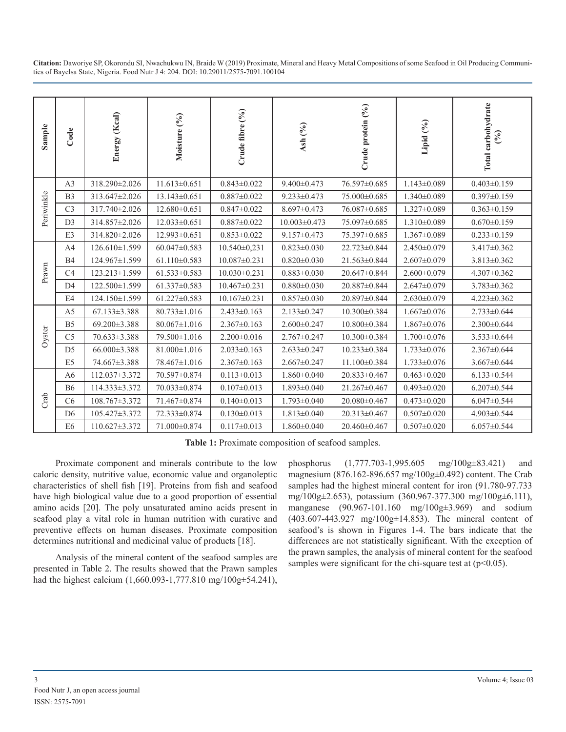| Sample     | Code            | Energy (Kcal)                                                                                                                                                                                                                                                                                                                                                                                                                                                                                                                                                                                                                                                                                                                             | Moisture (%)       | Crude fibre (%)    | Ash (%)            | Crude protein (%)                                                                                                                                                                                                                                                                                                                                                                                                                                                                                                                                                                                                                                                                                                                 | Lipid (%)         | Total carbohydrate<br>(96) |  |  |  |
|------------|-----------------|-------------------------------------------------------------------------------------------------------------------------------------------------------------------------------------------------------------------------------------------------------------------------------------------------------------------------------------------------------------------------------------------------------------------------------------------------------------------------------------------------------------------------------------------------------------------------------------------------------------------------------------------------------------------------------------------------------------------------------------------|--------------------|--------------------|--------------------|-----------------------------------------------------------------------------------------------------------------------------------------------------------------------------------------------------------------------------------------------------------------------------------------------------------------------------------------------------------------------------------------------------------------------------------------------------------------------------------------------------------------------------------------------------------------------------------------------------------------------------------------------------------------------------------------------------------------------------------|-------------------|----------------------------|--|--|--|
|            | A3              | 318.290±2.026                                                                                                                                                                                                                                                                                                                                                                                                                                                                                                                                                                                                                                                                                                                             | $11.613 \pm 0.651$ | $0.843 \pm 0.022$  | $9.400 \pm 0.473$  | 76.597±0.685                                                                                                                                                                                                                                                                                                                                                                                                                                                                                                                                                                                                                                                                                                                      | $1.143 \pm 0.089$ | $0.403 \pm 0.159$          |  |  |  |
|            | B <sub>3</sub>  | 313.647±2.026                                                                                                                                                                                                                                                                                                                                                                                                                                                                                                                                                                                                                                                                                                                             | 13.143±0.651       | $0.887 \pm 0.022$  | $9.233 \pm 0.473$  | 75.000±0.685                                                                                                                                                                                                                                                                                                                                                                                                                                                                                                                                                                                                                                                                                                                      | $1.340\pm0.089$   | $0.397 \pm 0.159$          |  |  |  |
| Periwinkle | C <sub>3</sub>  | 317.740±2.026                                                                                                                                                                                                                                                                                                                                                                                                                                                                                                                                                                                                                                                                                                                             | $12.680\pm0.651$   | $0.847 \pm 0.022$  | $8.697 \pm 0.473$  | 76.087±0.685                                                                                                                                                                                                                                                                                                                                                                                                                                                                                                                                                                                                                                                                                                                      | 1.327±0.089       | $0.363 \pm 0.159$          |  |  |  |
|            | D <sub>3</sub>  | 314.857±2.026                                                                                                                                                                                                                                                                                                                                                                                                                                                                                                                                                                                                                                                                                                                             | $12.033 \pm 0.651$ | $0.887 \pm 0.022$  | $10.003 \pm 0.473$ | 75.097±0.685                                                                                                                                                                                                                                                                                                                                                                                                                                                                                                                                                                                                                                                                                                                      | $1.310\pm0.089$   | $0.670 \pm 0.159$          |  |  |  |
|            | E3              | 314.820±2.026                                                                                                                                                                                                                                                                                                                                                                                                                                                                                                                                                                                                                                                                                                                             | 12.993±0.651       | $0.853 \pm 0.022$  | $9.157 \pm 0.473$  | 75.397±0.685                                                                                                                                                                                                                                                                                                                                                                                                                                                                                                                                                                                                                                                                                                                      | $1.367 \pm 0.089$ | $0.233 \pm 0.159$          |  |  |  |
|            | A4              | 126.610±1.599                                                                                                                                                                                                                                                                                                                                                                                                                                                                                                                                                                                                                                                                                                                             | $60.047 \pm 0.583$ | $10.540 \pm 0.231$ | $0.823 \pm 0.030$  | 22.723±0.844                                                                                                                                                                                                                                                                                                                                                                                                                                                                                                                                                                                                                                                                                                                      | 2.450±0.079       | $3.417 \pm 0.362$          |  |  |  |
|            | B4              | 124.967±1.599                                                                                                                                                                                                                                                                                                                                                                                                                                                                                                                                                                                                                                                                                                                             | $61.110 \pm 0.583$ | $10.087 \pm 0.231$ | $0.820 \pm 0.030$  | 21.563±0.844                                                                                                                                                                                                                                                                                                                                                                                                                                                                                                                                                                                                                                                                                                                      | $2.607 \pm 0.079$ | $3.813 \pm 0.362$          |  |  |  |
| Prawn      | C4              | 123.213±1.599                                                                                                                                                                                                                                                                                                                                                                                                                                                                                                                                                                                                                                                                                                                             | $61.533 \pm 0.583$ | $10.030 \pm 0.231$ | $0.883 \pm 0.030$  | 20.647±0.844                                                                                                                                                                                                                                                                                                                                                                                                                                                                                                                                                                                                                                                                                                                      | $2.600 \pm 0.079$ | 4.307±0.362                |  |  |  |
|            | D <sub>4</sub>  | 122.500±1.599                                                                                                                                                                                                                                                                                                                                                                                                                                                                                                                                                                                                                                                                                                                             | $61.337 \pm 0.583$ | $10.467 \pm 0.231$ | $0.880 \pm 0.030$  | 20.887±0.844                                                                                                                                                                                                                                                                                                                                                                                                                                                                                                                                                                                                                                                                                                                      | $2.647 \pm 0.079$ | 3.783±0.362                |  |  |  |
|            | E4              | 124.150±1.599                                                                                                                                                                                                                                                                                                                                                                                                                                                                                                                                                                                                                                                                                                                             | $61.227 \pm 0.583$ | $10.167 \pm 0.231$ | $0.857 \pm 0.030$  | 20.897±0.844                                                                                                                                                                                                                                                                                                                                                                                                                                                                                                                                                                                                                                                                                                                      | $2.630\pm0.079$   | $4.223 \pm 0.362$          |  |  |  |
|            | A <sub>5</sub>  | 67.133±3.388                                                                                                                                                                                                                                                                                                                                                                                                                                                                                                                                                                                                                                                                                                                              | $80.733 \pm 1.016$ | $2.433 \pm 0.163$  | $2.133 \pm 0.247$  | 10.300±0.384                                                                                                                                                                                                                                                                                                                                                                                                                                                                                                                                                                                                                                                                                                                      | $1.667 \pm 0.076$ | $2.733 \pm 0.644$          |  |  |  |
|            | B <sub>5</sub>  | 69.200±3.388                                                                                                                                                                                                                                                                                                                                                                                                                                                                                                                                                                                                                                                                                                                              | $80.067 \pm 1.016$ | $2.367 \pm 0.163$  | $2.600 \pm 0.247$  | 10.800±0.384                                                                                                                                                                                                                                                                                                                                                                                                                                                                                                                                                                                                                                                                                                                      | $1.867 \pm 0.076$ | $2.300\pm0.644$            |  |  |  |
| Oyster     | C <sub>5</sub>  | 70.633±3.388                                                                                                                                                                                                                                                                                                                                                                                                                                                                                                                                                                                                                                                                                                                              | 79.500±1.016       | $2.200 \pm 0.016$  | $2.767 \pm 0.247$  | 10.300±0.384                                                                                                                                                                                                                                                                                                                                                                                                                                                                                                                                                                                                                                                                                                                      | $1.700 \pm 0.076$ | $3.533 \pm 0.644$          |  |  |  |
|            | D <sub>5</sub>  | 66.000±3.388                                                                                                                                                                                                                                                                                                                                                                                                                                                                                                                                                                                                                                                                                                                              | $81.000 \pm 1.016$ | $2.033 \pm 0.163$  | $2.633 \pm 0.247$  | 10.233±0.384                                                                                                                                                                                                                                                                                                                                                                                                                                                                                                                                                                                                                                                                                                                      | $1.733 \pm 0.076$ | $2.367 \pm 0.644$          |  |  |  |
|            | E <sub>5</sub>  | 74.667±3.388                                                                                                                                                                                                                                                                                                                                                                                                                                                                                                                                                                                                                                                                                                                              | 78.467±1.016       | $2.367 \pm 0.163$  | $2.667 \pm 0.247$  | 11.100±0.384                                                                                                                                                                                                                                                                                                                                                                                                                                                                                                                                                                                                                                                                                                                      | $1.733 \pm 0.076$ | $3.667 \pm 0.644$          |  |  |  |
|            | A <sub>6</sub>  | 112.037±3.372                                                                                                                                                                                                                                                                                                                                                                                                                                                                                                                                                                                                                                                                                                                             | 70.597±0.874       | $0.113 \pm 0.013$  | $1.860 \pm 0.040$  | 20.833±0.467                                                                                                                                                                                                                                                                                                                                                                                                                                                                                                                                                                                                                                                                                                                      | $0.463 \pm 0.020$ | $6.133 \pm 0.544$          |  |  |  |
|            | <b>B6</b>       | 114.333±3.372                                                                                                                                                                                                                                                                                                                                                                                                                                                                                                                                                                                                                                                                                                                             | 70.033±0.874       | $0.107 \pm 0.013$  | $1.893 \pm 0.040$  | 21.267±0.467                                                                                                                                                                                                                                                                                                                                                                                                                                                                                                                                                                                                                                                                                                                      | $0.493 \pm 0.020$ | $6.207 \pm 0.544$          |  |  |  |
| Crab       | C <sub>6</sub>  | 108.767±3.372                                                                                                                                                                                                                                                                                                                                                                                                                                                                                                                                                                                                                                                                                                                             | 71.467±0.874       | $0.140 \pm 0.013$  | $1.793 \pm 0.040$  | 20.080±0.467                                                                                                                                                                                                                                                                                                                                                                                                                                                                                                                                                                                                                                                                                                                      | $0.473 \pm 0.020$ | $6.047 \pm 0.544$          |  |  |  |
|            | $D6$            | 105.427±3.372                                                                                                                                                                                                                                                                                                                                                                                                                                                                                                                                                                                                                                                                                                                             | 72.333±0.874       | $0.130 \pm 0.013$  | $1.813 \pm 0.040$  | 20.313±0.467                                                                                                                                                                                                                                                                                                                                                                                                                                                                                                                                                                                                                                                                                                                      | $0.507 \pm 0.020$ | 4.903±0.544                |  |  |  |
|            | E <sub>6</sub>  | 110.627±3.372                                                                                                                                                                                                                                                                                                                                                                                                                                                                                                                                                                                                                                                                                                                             | 71.000±0.874       | $0.117 \pm 0.013$  | $1.860 \pm 0.040$  | 20.460±0.467                                                                                                                                                                                                                                                                                                                                                                                                                                                                                                                                                                                                                                                                                                                      | $0.507 \pm 0.020$ | $6.057 \pm 0.544$          |  |  |  |
|            |                 | Proximate component and minerals contribute to the low<br>caloric density, nutritive value, economic value and organoleptic<br>characteristics of shell fish [19]. Proteins from fish and seafood<br>have high biological value due to a good proportion of essential<br>amino acids [20]. The poly unsaturated amino acids present in<br>seafood play a vital role in human nutrition with curative and<br>preventive effects on human diseases. Proximate composition<br>determines nutritional and medicinal value of products [18].<br>Analysis of the mineral content of the seafood samples are<br>presented in Table 2. The results showed that the Prawn samples<br>had the highest calcium (1,660.093-1,777.810 mg/100g±54.241), |                    |                    | phosphorus         | Table 1: Proximate composition of seafood samples.<br>$(1,777.703-1,995.605)$<br>$mg/100g\pm 83.421$<br>and<br>magnesium (876.162-896.657 mg/100g±0.492) content. The Crab<br>samples had the highest mineral content for iron (91.780-97.733)<br>mg/100g±2.653), potassium (360.967-377.300 mg/100g±6.111),<br>manganese (90.967-101.160 mg/100g±3.969) and sodium<br>$(403.607-443.927 \text{ mg}/100g \pm 14.853)$ . The mineral content of<br>seafood's is shown in Figures 1-4. The bars indicate that the<br>differences are not statistically significant. With the exception of<br>the prawn samples, the analysis of mineral content for the seafood<br>samples were significant for the chi-square test at $(p<0.05)$ . |                   |                            |  |  |  |
| 3          | ISSN: 2575-7091 | Food Nutr J, an open access journal                                                                                                                                                                                                                                                                                                                                                                                                                                                                                                                                                                                                                                                                                                       |                    |                    |                    |                                                                                                                                                                                                                                                                                                                                                                                                                                                                                                                                                                                                                                                                                                                                   |                   | Volume 4; Issue 03         |  |  |  |

**Table 1:** Proximate composition of seafood samples.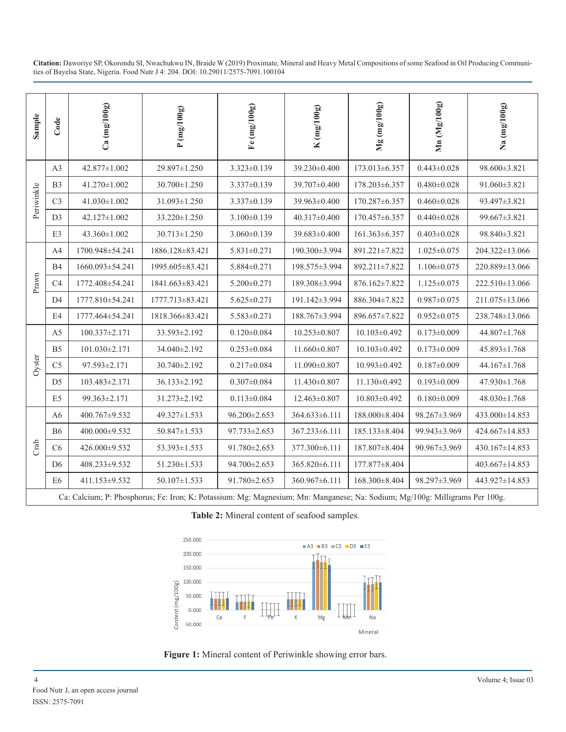| Sample                                                                                                                                                                                                                | Code           | $Ca \left( mg/100g \right)$         | P(mg/100g)                                                                                                                  | Fe $(\text{mg}/100\text{g})$ | K(mg/100g)         | $Mg$ (mg/100g)     | Mn (Mg/100g)       | $Na$ (mg/ $100g$ )   |  |
|-----------------------------------------------------------------------------------------------------------------------------------------------------------------------------------------------------------------------|----------------|-------------------------------------|-----------------------------------------------------------------------------------------------------------------------------|------------------------------|--------------------|--------------------|--------------------|----------------------|--|
|                                                                                                                                                                                                                       | A <sub>3</sub> | 42.877±1.002                        | 29.897±1.250                                                                                                                | $3.323 \pm 0.139$            | 39.230±0.400       | 173.013±6.357      | $0.443 \pm 0.028$  | 98.600±3.821         |  |
|                                                                                                                                                                                                                       | B <sub>3</sub> | 41.270±1.002                        | 30.700±1.250                                                                                                                | $3.337 \pm 0.139$            | 39.707±0.400       | 178.203±6.357      | $0.480 \pm 0.028$  | 91.060±3.821         |  |
| Periwinkle                                                                                                                                                                                                            | C <sub>3</sub> | $41.030 \pm 1.002$                  | 31.093±1.250                                                                                                                | $3.337 \pm 0.139$            | 39.963±0.400       | 170.287±6.357      | $0.460 \pm 0.028$  | 93.497±3.821         |  |
|                                                                                                                                                                                                                       | D <sub>3</sub> | 42.127±1.002                        | 33.220±1.250                                                                                                                | $3.100 \pm 0.139$            | 40.317±0.400       | 170.457±6.357      | $0.440 \pm 0.028$  | 99.667±3.821         |  |
|                                                                                                                                                                                                                       | E3             | 43.360±1.002                        | $30.713 \pm 1.250$                                                                                                          | $3.060 \pm 0.139$            | 39.683±0.400       | 161.363±6.357      | $0.403 \pm 0.028$  | 98.840±3.821         |  |
|                                                                                                                                                                                                                       | A4             | 1700.948±54.241                     | 1886.128±83.421                                                                                                             | $5.831 \pm 0.271$            | 190.300±3.994      | 891.221±7.822      | $1.025 \pm 0.075$  | 204.322±13.066       |  |
|                                                                                                                                                                                                                       | <b>B4</b>      | 1660.093±54.241                     | 1995.605±83.421                                                                                                             | 5.884±0.271                  | 198.575±3.994      | 892.211±7.822      | $1.106 \pm 0.075$  | 220.889±13.066       |  |
| Prawn                                                                                                                                                                                                                 | C <sub>4</sub> | 1772.408±54.241                     | 1841.663±83.421                                                                                                             | $5.200 \pm 0.271$            | 189.308±3.994      | 876.162±7.822      | $1.125 \pm 0.075$  | 222.510±13.066       |  |
|                                                                                                                                                                                                                       | D4             | 1777.810±54.241                     | 1777.713 ± 83.421                                                                                                           | $5.625 \pm 0.271$            | 191.142±3.994      | 886.304±7.822      | $0.987 \pm 0.075$  | 211.075 ± 13.066     |  |
|                                                                                                                                                                                                                       | E4             | 1777.464±54.241                     | 1818.366±83.421                                                                                                             | $5.583 \pm 0.271$            | 188.767±3.994      | 896.657±7.822      | $0.952 \pm 0.075$  | 238.748±13.066       |  |
| Oyster                                                                                                                                                                                                                | A <sub>5</sub> | 100.337±2.171                       | 33.593±2.192                                                                                                                | $0.120 \pm 0.084$            | $10.253 \pm 0.807$ | 10.103±0.492       | $0.173 \pm 0.009$  | 44.807±1.768         |  |
|                                                                                                                                                                                                                       | B <sub>5</sub> | 101.030±2.171                       | 34.040±2.192                                                                                                                | $0.253 \pm 0.084$            | $11.660 \pm 0.807$ | $10.103 \pm 0.492$ | $0.173 \pm 0.009$  | 45.893±1.768         |  |
|                                                                                                                                                                                                                       | C <sub>5</sub> | 97.593±2.171                        | 30.740±2.192                                                                                                                | $0.217 \pm 0.084$            | 11.090±0.807       | 10.993±0.492       | $0.187 \pm 0.009$  | 44.167±1.768         |  |
|                                                                                                                                                                                                                       | D <sub>5</sub> | 103.483±2.171                       | 36.133±2.192                                                                                                                | $0.307 \pm 0.084$            | $11.430 \pm 0.807$ | 11.130±0.492       | $0.193 \pm 0.009$  | 47.930±1.768         |  |
|                                                                                                                                                                                                                       | E <sub>5</sub> | 99.363±2.171                        | $31.273 \pm 2.192$                                                                                                          | $0.113 \pm 0.084$            | $12.463 \pm 0.807$ | 10.803±0.492       | $0.180 \pm 0.009$  | 48.030±1.768         |  |
|                                                                                                                                                                                                                       | A <sub>6</sub> | 400.767±9.532                       | 49.327±1.533                                                                                                                | $96.200 \pm 2.653$           | 364.633±6.111      | 188.000±8.404      | 98.267±3.969       | $433.000 \pm 14.853$ |  |
|                                                                                                                                                                                                                       | B6             | 400.000±9.532                       | 50.847±1.533                                                                                                                | $97.733 \pm 2.653$           | 367.233±6.111      | 185.133±8.404      | 99.943±3.969       | 424.667±14.853       |  |
| Crab                                                                                                                                                                                                                  | C6             | 426.000±9.532                       | $53.393 \pm 1.533$                                                                                                          | 91.780±2.653                 | 377.300±6.111      | 187.807±8.404      | $90.967 \pm 3.969$ | 430.167±14.853       |  |
|                                                                                                                                                                                                                       | D <sub>6</sub> | 408.233±9.532                       | $51.230 \pm 1.533$                                                                                                          | 94.700±2.653                 | 365.820±6.111      | 177.877±8.404      |                    | 403.667±14.853       |  |
|                                                                                                                                                                                                                       | E <sub>6</sub> | 411.153±9.532                       | $50.107 \pm 1.533$                                                                                                          | 91.780±2.653                 | 360.967±6.111      | 168.300±8.404      | 98.297±3.969       | 443.927±14.853       |  |
|                                                                                                                                                                                                                       |                |                                     | Ca: Calcium; P: Phosphorus; Fe: Iron; K: Potassium: Mg: Magnesium; Mn: Manganese; Na: Sodium; Mg/100g: Milligrams Per 100g. |                              |                    |                    |                    |                      |  |
| Table 2: Mineral content of seafood samples.                                                                                                                                                                          |                |                                     |                                                                                                                             |                              |                    |                    |                    |                      |  |
| 250.000<br>■ A3 ■ B3 ■ C3 ■ D3 ■ E3<br>200.000<br>150.000<br>100.000<br>Content (mg/100g)<br>50.000<br>0.000<br>Mg<br>Na<br>Ca<br>$-50.000$<br>Mineral<br>Figure 1: Mineral content of Periwinkle showing error bars. |                |                                     |                                                                                                                             |                              |                    |                    |                    |                      |  |
| 4                                                                                                                                                                                                                     |                | Food Nutr J, an open access journal |                                                                                                                             |                              |                    |                    |                    | Volume 4; Issue 03   |  |

**Table 2:** Mineral content of seafood samples.



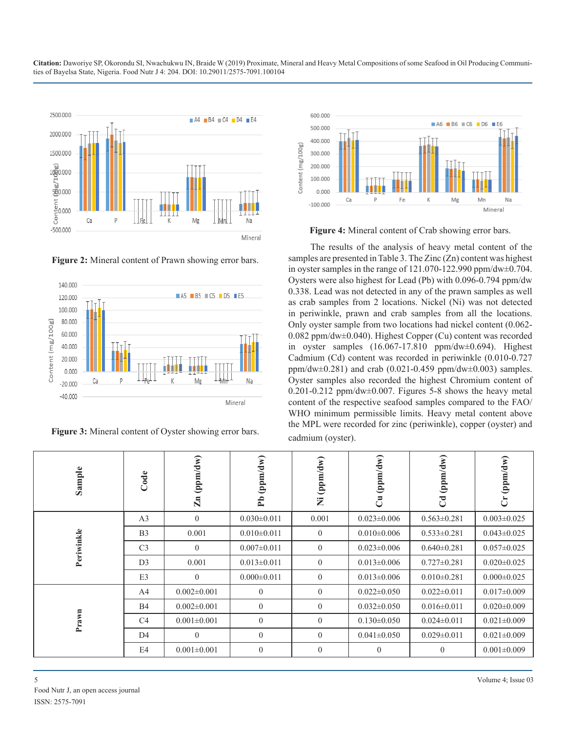

**Figure 2:** Mineral content of Prawn showing error bars.



**Figure 3:** Mineral content of Oyster showing error bars.



**Figure 4:** Mineral content of Crab showing error bars.

The results of the analysis of heavy metal content of the samples are presented in Table 3. The Zinc (Zn) content was highest in oyster samples in the range of 121.070-122.990 ppm/dw±0.704. Oysters were also highest for Lead (Pb) with 0.096-0.794 ppm/dw 0.338. Lead was not detected in any of the prawn samples as well as crab samples from 2 locations. Nickel (Ni) was not detected in periwinkle, prawn and crab samples from all the locations. Only oyster sample from two locations had nickel content (0.062- 0.082 ppm/dw±0.040). Highest Copper (Cu) content was recorded in oyster samples (16.067-17.810 ppm/dw±0.694). Highest Cadmium (Cd) content was recorded in periwinkle (0.010-0.727 ppm/dw $\pm$ 0.281) and crab (0.021-0.459 ppm/dw $\pm$ 0.003) samples. Oyster samples also recorded the highest Chromium content of 0.201-0.212 ppm/dw±0.007. Figures 5-8 shows the heavy metal content of the respective seafood samples compared to the FAO/ WHO minimum permissible limits. Heavy metal content above the MPL were recorded for zinc (periwinkle), copper (oyster) and cadmium (oyster).

| Sample     | Code           | (ppm/dw)<br>$\mathbf{Zn}$ | (ppm/dw)<br>$\mathbf{f}$ | (ppm/dw)<br>Ż  | (ppm/dw)<br>්     | (ppm/dw)<br>$\overline{c}$ | (ppm/dw)<br>$\ddot{\sigma}$ |
|------------|----------------|---------------------------|--------------------------|----------------|-------------------|----------------------------|-----------------------------|
|            | A <sub>3</sub> | $\theta$                  | $0.030 \pm 0.011$        | 0.001          | $0.023 \pm 0.006$ | $0.563 \pm 0.281$          | $0.003 \pm 0.025$           |
|            | B <sub>3</sub> | 0.001                     | $0.010 \pm 0.011$        | $\overline{0}$ | $0.010\pm0.006$   | $0.533 \pm 0.281$          | $0.043 \pm 0.025$           |
| Periwinkle | C <sub>3</sub> | $\boldsymbol{0}$          | $0.007 \pm 0.011$        | $\theta$       | $0.023 \pm 0.006$ | $0.640 \pm 0.281$          | $0.057 \pm 0.025$           |
|            | D <sub>3</sub> | 0.001                     | $0.013 \pm 0.011$        | $\theta$       | $0.013 \pm 0.006$ | $0.727 \pm 0.281$          | $0.020 \pm 0.025$           |
|            | E3             | $\boldsymbol{0}$          | $0.000 \pm 0.011$        | $\mathbf{0}$   | $0.013 \pm 0.006$ | $0.010 \pm 0.281$          | $0.000 \pm 0.025$           |
|            | A <sub>4</sub> | $0.002 \pm 0.001$         | $\overline{0}$           | $\theta$       | $0.022 \pm 0.050$ | $0.022 \pm 0.011$          | $0.017 \pm 0.009$           |
|            | <b>B4</b>      | $0.002 \pm 0.001$         | $\overline{0}$           | $\theta$       | $0.032 \pm 0.050$ | $0.016 \pm 0.011$          | $0.020 \pm 0.009$           |
| Prawn      | C <sub>4</sub> | $0.001 \pm 0.001$         | $\mathbf{0}$             | $\theta$       | $0.130 \pm 0.050$ | $0.024 \pm 0.011$          | $0.021 \pm 0.009$           |
|            | D <sub>4</sub> | $\theta$                  | $\overline{0}$           | $\theta$       | $0.041 \pm 0.050$ | $0.029 \pm 0.011$          | $0.021 \pm 0.009$           |
|            | E4             | $0.001 \pm 0.001$         | $\overline{0}$           | $\theta$       | $\theta$          | $\overline{0}$             | $0.001 \pm 0.009$           |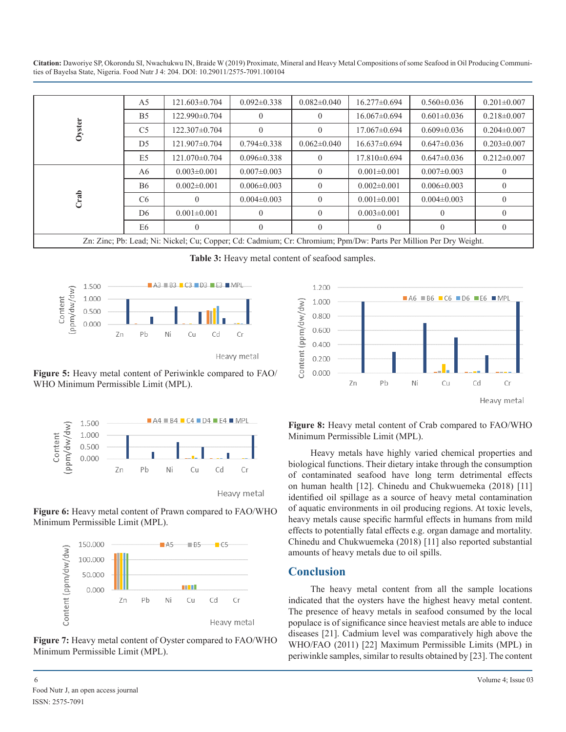|                                                                                                 | A <sub>5</sub>              | 121.603±0.704                                                                                                    | $0.092 \pm 0.338$                                                                                                                                                                                | $0.082 \pm 0.040$                                                                                                                                                                           | 16.277±0.694      | $0.560 \pm 0.036$                                                                                                                        | $0.201 \pm 0.007$   |  |  |
|-------------------------------------------------------------------------------------------------|-----------------------------|------------------------------------------------------------------------------------------------------------------|--------------------------------------------------------------------------------------------------------------------------------------------------------------------------------------------------|---------------------------------------------------------------------------------------------------------------------------------------------------------------------------------------------|-------------------|------------------------------------------------------------------------------------------------------------------------------------------|---------------------|--|--|
|                                                                                                 | B <sub>5</sub>              | 122.990±0.704                                                                                                    | $\boldsymbol{0}$                                                                                                                                                                                 | $\overline{0}$                                                                                                                                                                              | 16.067±0.694      | $0.601 \pm 0.036$                                                                                                                        | $0.218 \pm 0.007$   |  |  |
| Oyster                                                                                          | C <sub>5</sub>              | 122.307±0.704                                                                                                    | $\overline{0}$                                                                                                                                                                                   | $\theta$                                                                                                                                                                                    | 17.067±0.694      | $0.609 \pm 0.036$                                                                                                                        | $0.204 \pm 0.007$   |  |  |
|                                                                                                 | D <sub>5</sub>              | 121.907±0.704                                                                                                    | $0.794 \pm 0.338$                                                                                                                                                                                | $0.062 \pm 0.040$                                                                                                                                                                           | 16.637±0.694      | $0.647 \pm 0.036$                                                                                                                        | $0.203 \pm 0.007$   |  |  |
|                                                                                                 | E <sub>5</sub>              | 121.070±0.704                                                                                                    | $0.096 \pm 0.338$                                                                                                                                                                                | $\boldsymbol{0}$                                                                                                                                                                            | 17.810±0.694      | $0.647 \pm 0.036$                                                                                                                        | $0.212 \pm 0.007$   |  |  |
|                                                                                                 | A6                          | $0.003 \pm 0.001$                                                                                                | $0.007 \pm 0.003$                                                                                                                                                                                | $\mathbf{0}$                                                                                                                                                                                | $0.001 \pm 0.001$ | $0.007 \pm 0.003$                                                                                                                        | $\boldsymbol{0}$    |  |  |
|                                                                                                 | <b>B6</b>                   | $0.002 \pm 0.001$                                                                                                | $0.006 \pm 0.003$                                                                                                                                                                                | $\overline{0}$                                                                                                                                                                              | $0.002 \pm 0.001$ | $0.006 \pm 0.003$                                                                                                                        | $\boldsymbol{0}$    |  |  |
| Crab                                                                                            | C6                          | $\theta$                                                                                                         | $0.004 \pm 0.003$                                                                                                                                                                                | $\overline{0}$                                                                                                                                                                              | $0.001 \pm 0.001$ | $0.004 \pm 0.003$                                                                                                                        | $\boldsymbol{0}$    |  |  |
|                                                                                                 | D <sub>6</sub>              | $0.001 \pm 0.001$                                                                                                | $\boldsymbol{0}$                                                                                                                                                                                 | $\overline{0}$                                                                                                                                                                              | $0.003 \pm 0.001$ | $\boldsymbol{0}$                                                                                                                         | $\boldsymbol{0}$    |  |  |
|                                                                                                 | E <sub>6</sub>              | $\overline{0}$                                                                                                   | $\overline{0}$                                                                                                                                                                                   | $\theta$                                                                                                                                                                                    | $\theta$          | $\overline{0}$                                                                                                                           | $\boldsymbol{0}$    |  |  |
|                                                                                                 |                             | Zn: Zinc; Pb: Lead; Ni: Nickel; Cu; Copper; Cd: Cadmium; Cr: Chromium; Ppm/Dw: Parts Per Million Per Dry Weight. |                                                                                                                                                                                                  |                                                                                                                                                                                             |                   |                                                                                                                                          |                     |  |  |
| 1.500                                                                                           |                             | $AA$ B3 $C3$ D3 E3 MPL                                                                                           |                                                                                                                                                                                                  | Table 3: Heavy metal content of seafood samples.<br>1.200                                                                                                                                   |                   |                                                                                                                                          |                     |  |  |
| 1.000                                                                                           |                             |                                                                                                                  |                                                                                                                                                                                                  | 1.000                                                                                                                                                                                       |                   | $\blacksquare$ A6 $\blacksquare$ B6 $\blacksquare$ C6 $\blacksquare$ D6 $\blacksquare$ E6 $\blacksquare$ MPL                             |                     |  |  |
| (ppm/dw/dw)<br>Content<br>0.500                                                                 |                             |                                                                                                                  |                                                                                                                                                                                                  | Content (ppm/dw/dw)<br>0.800                                                                                                                                                                |                   |                                                                                                                                          |                     |  |  |
| 0.000<br>Zn                                                                                     | Pb                          | Ni<br>Cd<br>Cu                                                                                                   | Cr                                                                                                                                                                                               | 0.600                                                                                                                                                                                       |                   |                                                                                                                                          |                     |  |  |
|                                                                                                 |                             |                                                                                                                  |                                                                                                                                                                                                  | 0.400                                                                                                                                                                                       |                   |                                                                                                                                          |                     |  |  |
|                                                                                                 |                             |                                                                                                                  | Heavy metal                                                                                                                                                                                      | 0.200                                                                                                                                                                                       |                   |                                                                                                                                          |                     |  |  |
| Figure 5: Heavy metal content of Periwinkle compared to FAO/                                    |                             |                                                                                                                  |                                                                                                                                                                                                  | 0.000                                                                                                                                                                                       |                   |                                                                                                                                          |                     |  |  |
| WHO Minimum Permissible Limit (MPL).                                                            |                             |                                                                                                                  |                                                                                                                                                                                                  |                                                                                                                                                                                             | Pb<br>Zn          | Ni<br>Cu                                                                                                                                 | Cd<br>$\mathsf{Cr}$ |  |  |
|                                                                                                 |                             |                                                                                                                  |                                                                                                                                                                                                  |                                                                                                                                                                                             |                   |                                                                                                                                          | Heavy metal         |  |  |
| $AA \otimes B4$ $C4$ $D4$ $E4$ $MPI$<br>1.500<br>(ppm/dw/dw)<br>Content<br>1.000<br>0.500       |                             |                                                                                                                  |                                                                                                                                                                                                  | Figure 8: Heavy metal content of Crab compared to FAO/WHO<br>Minimum Permissible Limit (MPL).<br>Heavy metals have highly varied chemical properties and                                    |                   |                                                                                                                                          |                     |  |  |
| 0.000                                                                                           |                             |                                                                                                                  |                                                                                                                                                                                                  |                                                                                                                                                                                             |                   | biological functions. Their dietary intake through the consumption                                                                       |                     |  |  |
| Zn                                                                                              | Pb                          | Cu<br>Cd<br>Ni                                                                                                   | Cr                                                                                                                                                                                               | of contaminated seafood have long term detrimental effects<br>on human health [12]. Chinedu and Chukwuemeka (2018) [11]<br>identified oil spillage as a source of heavy metal contamination |                   |                                                                                                                                          |                     |  |  |
|                                                                                                 |                             |                                                                                                                  | Heavy metal                                                                                                                                                                                      |                                                                                                                                                                                             |                   |                                                                                                                                          |                     |  |  |
|                                                                                                 |                             |                                                                                                                  |                                                                                                                                                                                                  |                                                                                                                                                                                             |                   | of aquatic environments in oil producing regions. At toxic levels,                                                                       |                     |  |  |
| Figure 6: Heavy metal content of Prawn compared to FAO/WHO<br>Minimum Permissible Limit (MPL).  |                             |                                                                                                                  |                                                                                                                                                                                                  |                                                                                                                                                                                             |                   | heavy metals cause specific harmful effects in humans from mild<br>effects to potentially fatal effects e.g. organ damage and mortality. |                     |  |  |
|                                                                                                 | 150.000<br>A5<br>$BB5 - C5$ |                                                                                                                  |                                                                                                                                                                                                  | Chinedu and Chukwuemeka (2018) [11] also reported substantial<br>amounts of heavy metals due to oil spills.                                                                                 |                   |                                                                                                                                          |                     |  |  |
| 100.000                                                                                         |                             |                                                                                                                  |                                                                                                                                                                                                  |                                                                                                                                                                                             |                   |                                                                                                                                          |                     |  |  |
| 50.000                                                                                          |                             |                                                                                                                  |                                                                                                                                                                                                  | <b>Conclusion</b>                                                                                                                                                                           |                   |                                                                                                                                          |                     |  |  |
| Content (ppm/dw/dw)<br>0.000                                                                    |                             | <b>IS II</b>                                                                                                     |                                                                                                                                                                                                  | The heavy metal content from all the sample locations                                                                                                                                       |                   |                                                                                                                                          |                     |  |  |
| Zn                                                                                              | Pb                          | Ni<br>Cu<br>Cd                                                                                                   | Cr                                                                                                                                                                                               |                                                                                                                                                                                             |                   | indicated that the oysters have the highest heavy metal content.                                                                         |                     |  |  |
|                                                                                                 |                             |                                                                                                                  | Heavy metal                                                                                                                                                                                      | The presence of heavy metals in seafood consumed by the local<br>populace is of significance since heaviest metals are able to induce                                                       |                   |                                                                                                                                          |                     |  |  |
| Figure 7: Heavy metal content of Oyster compared to FAO/WHO<br>Minimum Permissible Limit (MPL). |                             |                                                                                                                  | diseases [21]. Cadmium level was comparatively high above the<br>WHO/FAO (2011) [22] Maximum Permissible Limits (MPL) in<br>periwinkle samples, similar to results obtained by [23]. The content |                                                                                                                                                                                             |                   |                                                                                                                                          |                     |  |  |
| 6                                                                                               |                             |                                                                                                                  |                                                                                                                                                                                                  |                                                                                                                                                                                             |                   |                                                                                                                                          |                     |  |  |
| Food Nutr J, an open access journal                                                             |                             |                                                                                                                  |                                                                                                                                                                                                  |                                                                                                                                                                                             |                   |                                                                                                                                          | Volume 4; Issue 03  |  |  |

**Table 3:** Heavy metal content of seafood samples.



**Figure 5:** Heavy metal content of Periwinkle compared to FAO/ WHO Minimum Permissible Limit (MPL).



**Figure 6:** Heavy metal content of Prawn compared to FAO/WHO Minimum Permissible Limit (MPL).



**Figure 7:** Heavy metal content of Oyster compared to FAO/WHO Minimum Permissible Limit (MPL).



# **Conclusion**